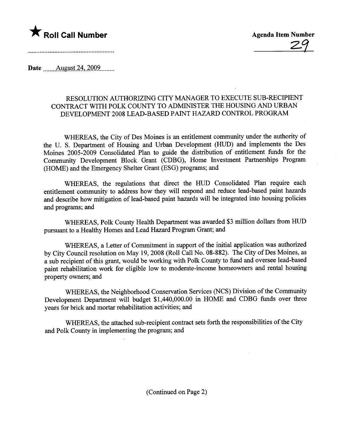

Date August 24,  $2009$ 

## RESOLUTION AUTHORIZING CITY MANAGER TO EXECUTE SUB-RECIPIENT CONTRACT WITH POLK COUNTY TO ADMINISTER THE HOUSING AND URBAN DEVELOPMENT 2008 LEAD-BASED PAINT HAZARD CONTROL PROGRAM

WHEREAS, the City of Des Moines is an entitlement communty under the authority of the U. S. Deparment of Housing and Urban Development (RUD) and implements the Des Moines 2005-2009 Consolidated Plan to guide the distribution of entitlement funds for the Community Development Block Grant (CDBG), Home Investment Parnerships Program (HOME) and the Emergency Shelter Grant (ESG) programs; and

WHEREAS, the regulations that direct the RUD Consolidated Plan require each entitlement community to address how they will respond and reduce lead-based paint hazards and describe how mitigation of lead-based paint hazards will be integrated into housing policies and programs; and

WHEREAS, Polk County Health Department was awarded \$3 million dollars from HUD pursuant to a Healthy Homes and Lead Hazard Program Grant; and

WHEREAS, a Letter of Commitment in support of the initial application was authorized by City Council resolution on May 19,2008 (Roll Call No. 08-882). The City of Des Moines, as a sub recipient of this grant, would be working with Polk County to fud and oversee lead-based paint rehabiltation work for eligible low to moderate-income homeowners and rental housing property owners; and

WHEREAS, the Neighborhood Conservation Services (NCS) Division of the Community Development Deparment will budget \$1,440,000.00 in HOME and CDBG fuds over three years for brick and mortar rehabilitation activities; and

WHEREAS, the attached sub-recipient contract sets forth the responsibilities of the City and Polk County in implementing the program; and